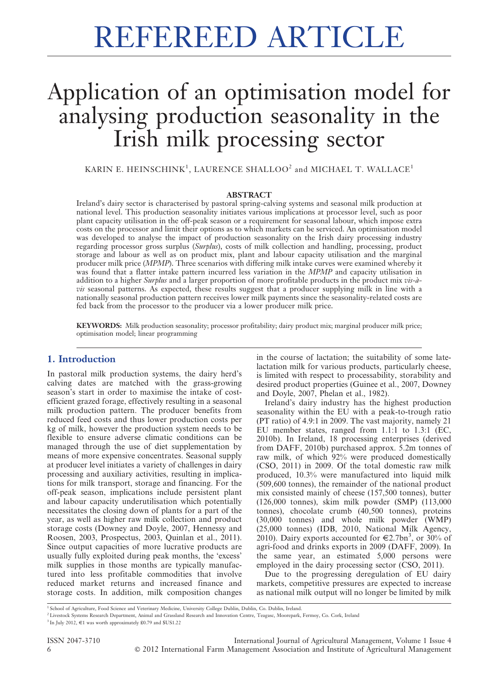# Application of an optimisation model for analysing production seasonality in the Irish milk processing sector

KARIN E. HEINSCHINK $^1$ , LAURENCE SHALLOO $^2$  and MICHAEL T. WALLACE $^1$ 

#### ABSTRACT

Ireland's dairy sector is characterised by pastoral spring-calving systems and seasonal milk production at national level. This production seasonality initiates various implications at processor level, such as poor plant capacity utilisation in the off-peak season or a requirement for seasonal labour, which impose extra costs on the processor and limit their options as to which markets can be serviced. An optimisation model was developed to analyse the impact of production seasonality on the Irish dairy processing industry regarding processor gross surplus (Surplus), costs of milk collection and handling, processing, product storage and labour as well as on product mix, plant and labour capacity utilisation and the marginal producer milk price (MPMP). Three scenarios with differing milk intake curves were examined whereby it was found that a flatter intake pattern incurred less variation in the MPMP and capacity utilisation in addition to a higher Surplus and a larger proportion of more profitable products in the product mix  $vis-\hat{a}$ vis seasonal patterns. As expected, these results suggest that a producer supplying milk in line with a nationally seasonal production pattern receives lower milk payments since the seasonality-related costs are fed back from the processor to the producer via a lower producer milk price.

KEYWORDS: Milk production seasonality; processor profitability; dairy product mix; marginal producer milk price; optimisation model; linear programming

# 1. Introduction

In pastoral milk production systems, the dairy herd's calving dates are matched with the grass-growing season's start in order to maximise the intake of costefficient grazed forage, effectively resulting in a seasonal milk production pattern. The producer benefits from reduced feed costs and thus lower production costs per kg of milk, however the production system needs to be flexible to ensure adverse climatic conditions can be managed through the use of diet supplementation by means of more expensive concentrates. Seasonal supply at producer level initiates a variety of challenges in dairy processing and auxiliary activities, resulting in implications for milk transport, storage and financing. For the off-peak season, implications include persistent plant and labour capacity underutilisation which potentially necessitates the closing down of plants for a part of the year, as well as higher raw milk collection and product storage costs (Downey and Doyle, 2007, Hennessy and Roosen, 2003, Prospectus, 2003, Quinlan et al., 2011). Since output capacities of more lucrative products are usually fully exploited during peak months, the 'excess' milk supplies in those months are typically manufactured into less profitable commodities that involve reduced market returns and increased finance and storage costs. In addition, milk composition changes in the course of lactation; the suitability of some latelactation milk for various products, particularly cheese, is limited with respect to processability, storability and desired product properties (Guinee et al., 2007, Downey and Doyle, 2007, Phelan et al., 1982).

Ireland's dairy industry has the highest production seasonality within the EU with a peak-to-trough ratio (PT ratio) of 4.9:1 in 2009. The vast majority, namely 21 EU member states, ranged from 1.1:1 to 1.3:1 (EC, 2010b). In Ireland, 18 processing enterprises (derived from DAFF, 2010b) purchased approx. 5.2m tonnes of raw milk, of which 92% were produced domestically (CSO, 2011) in 2009. Of the total domestic raw milk produced, 10.3% were manufactured into liquid milk (509,600 tonnes), the remainder of the national product mix consisted mainly of cheese (157,500 tonnes), butter (126,000 tonnes), skim milk powder (SMP) (113,000 tonnes), chocolate crumb (40,500 tonnes), proteins (30,000 tonnes) and whole milk powder (WMP) (25,000 tonnes) (IDB, 2010, National Milk Agency, 2010). Dairy exports accounted for  $\epsilon$ 2.7bn<sup>3</sup>, or 30% of agri-food and drinks exports in 2009 (DAFF, 2009). In the same year, an estimated 5,000 persons were employed in the dairy processing sector (CSO, 2011).

Due to the progressing deregulation of EU dairy markets, competitive pressures are expected to increase as national milk output will no longer be limited by milk

<sup>2</sup> Livestock Systems Research Department, Animal and Grassland Research and Innovation Centre, Teagasc, Moorepark, Fermoy, Co. Cork, Ireland

ISSN 2047-3710 International Journal of Agricultural Management, Volume 1 Issue 4 6 ' 2012 International Farm Management Association and Institute of Agricultural Management

<sup>&</sup>lt;sup>1</sup> School of Agriculture, Food Science and Veterinary Medicine, University College Dublin, Dublin, Co. Dublin, Ireland.

 $^3$  In July 2012,  $\in$  1 was worth approximately  $\pmb{\pounds}0.79$  and  $\pmb{\mathbb{S}US1.22}$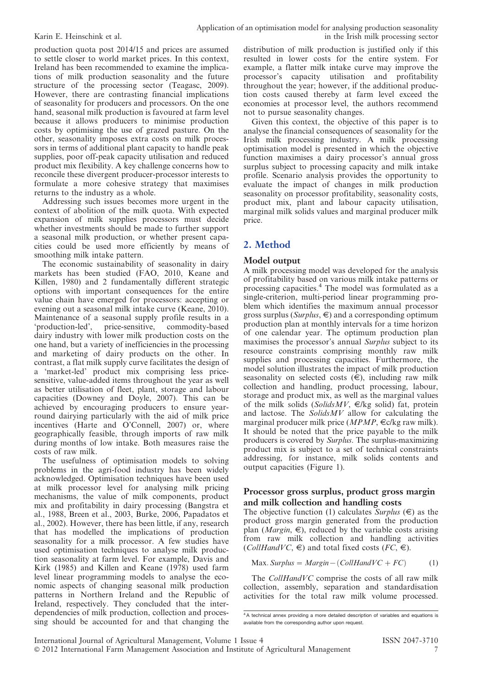production quota post 2014/15 and prices are assumed to settle closer to world market prices. In this context, Ireland has been recommended to examine the implications of milk production seasonality and the future structure of the processing sector (Teagasc, 2009). However, there are contrasting financial implications of seasonality for producers and processors. On the one hand, seasonal milk production is favoured at farm level because it allows producers to minimise production costs by optimising the use of grazed pasture. On the other, seasonality imposes extra costs on milk processors in terms of additional plant capacity to handle peak supplies, poor off-peak capacity utilisation and reduced product mix flexibility. A key challenge concerns how to reconcile these divergent producer-processor interests to formulate a more cohesive strategy that maximises returns to the industry as a whole.

Addressing such issues becomes more urgent in the context of abolition of the milk quota. With expected expansion of milk supplies processors must decide whether investments should be made to further support a seasonal milk production, or whether present capacities could be used more efficiently by means of smoothing milk intake pattern.

The economic sustainability of seasonality in dairy markets has been studied (FAO, 2010, Keane and Killen, 1980) and 2 fundamentally different strategic options with important consequences for the entire value chain have emerged for processors: accepting or evening out a seasonal milk intake curve (Keane, 2010). Maintenance of a seasonal supply profile results in a 'production-led', price-sensitive, commodity-based dairy industry with lower milk production costs on the one hand, but a variety of inefficiencies in the processing and marketing of dairy products on the other. In contrast, a flat milk supply curve facilitates the design of a 'market-led' product mix comprising less pricesensitive, value-added items throughout the year as well as better utilisation of fleet, plant, storage and labour capacities (Downey and Doyle, 2007). This can be achieved by encouraging producers to ensure yearround dairying particularly with the aid of milk price incentives (Harte and O'Connell, 2007) or, where geographically feasible, through imports of raw milk during months of low intake. Both measures raise the costs of raw milk.

The usefulness of optimisation models to solving problems in the agri-food industry has been widely acknowledged. Optimisation techniques have been used at milk processor level for analysing milk pricing mechanisms, the value of milk components, product mix and profitability in dairy processing (Bangstra et al., 1988, Breen et al., 2003, Burke, 2006, Papadatos et al., 2002). However, there has been little, if any, research that has modelled the implications of production seasonality for a milk processor. A few studies have used optimisation techniques to analyse milk production seasonality at farm level. For example, Davis and Kirk (1985) and Killen and Keane (1978) used farm level linear programming models to analyse the economic aspects of changing seasonal milk production patterns in Northern Ireland and the Republic of Ireland, respectively. They concluded that the interdependencies of milk production, collection and processing should be accounted for and that changing the

distribution of milk production is justified only if this resulted in lower costs for the entire system. For example, a flatter milk intake curve may improve the processor's capacity utilisation and profitability throughout the year; however, if the additional production costs caused thereby at farm level exceed the economies at processor level, the authors recommend not to pursue seasonality changes.

Given this context, the objective of this paper is to analyse the financial consequences of seasonality for the Irish milk processing industry. A milk processing optimisation model is presented in which the objective function maximises a dairy processor's annual gross surplus subject to processing capacity and milk intake profile. Scenario analysis provides the opportunity to evaluate the impact of changes in milk production seasonality on processor profitability, seasonality costs, product mix, plant and labour capacity utilisation, marginal milk solids values and marginal producer milk price.

# 2. Method

# Model output

A milk processing model was developed for the analysis of profitability based on various milk intake patterns or processing capacities.<sup>4</sup> The model was formulated as a single-criterion, multi-period linear programming problem which identifies the maximum annual processor gross surplus ( $Surplus$ ,  $\in$ ) and a corresponding optimum production plan at monthly intervals for a time horizon of one calendar year. The optimum production plan maximises the processor's annual Surplus subject to its resource constraints comprising monthly raw milk supplies and processing capacities. Furthermore, the model solution illustrates the impact of milk production seasonality on selected costs  $(\widehat{\epsilon})$ , including raw milk collection and handling, product processing, labour, storage and product mix, as well as the marginal values of the milk solids (SolidsMV,  $\in$ /kg solid) fat, protein and lactose. The SolidsMV allow for calculating the marginal producer milk price ( $MPMP$ ,  $\in$ c/kg raw milk). It should be noted that the price payable to the milk producers is covered by Surplus. The surplus-maximizing product mix is subject to a set of technical constraints addressing, for instance, milk solids contents and output capacities (Figure 1).

### Processor gross surplus, product gross margin and milk collection and handling costs

The objective function (1) calculates  $\overline{S$ *urplus* ( $\in$ ) as the product gross margin generated from the production plan (*Margin*,  $\epsilon$ ), reduced by the variable costs arising from raw milk collection and handling activities  $(CollHandVC, \epsilon)$  and total fixed costs  $(FC, \epsilon)$ .

$$
Max. Surplus = Margin - (CollHandVC + FC)
$$
 (1)

The *CollHandVC* comprise the costs of all raw milk collection, assembly, separation and standardisation activities for the total raw milk volume processed.

<sup>&</sup>lt;sup>4</sup>A technical annex providing a more detailed description of variables and equations is available from the corresponding author upon request.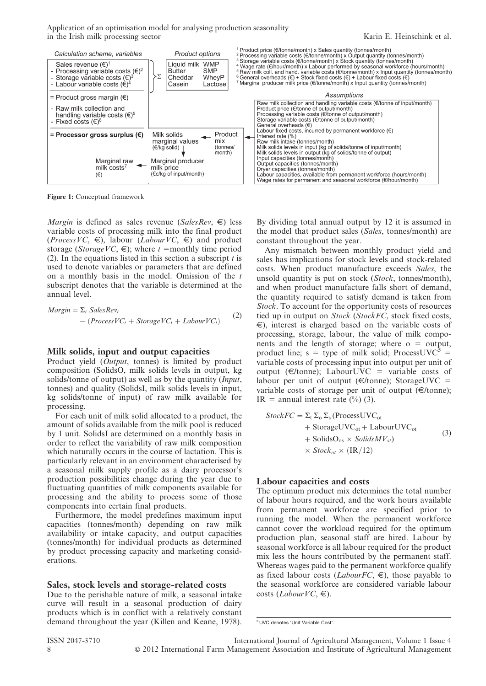Application of an optimisation model for analysing production seasonality in the Irish milk processing sector Karin E. Heinschink et al.



Figure 1: Conceptual framework

*Margin* is defined as sales revenue (SalesRev,  $\epsilon$ ) less variable costs of processing milk into the final product (*ProcessVC*,  $\epsilon$ ), labour (*LabourVC*,  $\epsilon$ ) and product storage (StorageVC,  $\epsilon$ ); where t =monthly time period (2). In the equations listed in this section a subscript  $t$  is used to denote variables or parameters that are defined on a monthly basis in the model. Omission of the t subscript denotes that the variable is determined at the annual level.

$$
Margin = \Sigma_t SalesRev_t
$$
  
- (Process VC<sub>t</sub> + Storage VC<sub>t</sub> + Laboratory (2)

#### Milk solids, input and output capacities

Product yield  $(\overline{Output}, \overline{ł})$  is limited by product composition (SolidsO, milk solids levels in output, kg solids/tonne of output) as well as by the quantity (*Input*, tonnes) and quality (SolidsI, milk solids levels in input, kg solids/tonne of input) of raw milk available for processing.

For each unit of milk solid allocated to a product, the amount of solids available from the milk pool is reduced by 1 unit. SolidsI are determined on a monthly basis in order to reflect the variability of raw milk composition which naturally occurs in the course of lactation. This is particularly relevant in an environment characterised by a seasonal milk supply profile as a dairy processor's production possibilities change during the year due to fluctuating quantities of milk components available for processing and the ability to process some of those components into certain final products.

Furthermore, the model predefines maximum input capacities (tonnes/month) depending on raw milk availability or intake capacity, and output capacities (tonnes/month) for individual products as determined by product processing capacity and marketing considerations.

#### Sales, stock levels and storage-related costs

Due to the perishable nature of milk, a seasonal intake curve will result in a seasonal production of dairy products which is in conflict with a relatively constant demand throughout the year (Killen and Keane, 1978). By dividing total annual output by 12 it is assumed in the model that product sales (Sales, tonnes/month) are constant throughout the year.

Any mismatch between monthly product yield and sales has implications for stock levels and stock-related costs. When product manufacture exceeds Sales, the unsold quantity is put on stock (Stock, tonnes/month), and when product manufacture falls short of demand, the quantity required to satisfy demand is taken from Stock. To account for the opportunity costs of resources tied up in output on Stock (StockFC, stock fixed costs,  $\epsilon$ ), interest is charged based on the variable costs of processing, storage, labour, the value of milk components and the length of storage; where  $o =$  output, product line; s = type of milk solid; ProcessUVC<sup>5</sup> = variable costs of processing input into output per unit of output ( $\in$ /tonne); LabourUVC = variable costs of labour per unit of output ( $\in$ /tonne); StorageUVC = variable costs of storage per unit of output ( $\in$ /tonne); IR = annual interest rate  $(\%)(3)$ .

$$
StockFC = \Sigma_{t} \Sigma_{o} \Sigma_{s} (ProcessUVC_{ot} + StorageUVC_{ot} + LabourUVC_{ot} + SolidsO_{os} \times SolidsMV_{st})
$$
  
+ SolidsO<sub>os</sub> × SolidsMV<sub>st</sub>)  
× Stock<sub>ot</sub> × (IR/12) (3)

#### Labour capacities and costs

The optimum product mix determines the total number of labour hours required, and the work hours available from permanent workforce are specified prior to running the model. When the permanent workforce cannot cover the workload required for the optimum production plan, seasonal staff are hired. Labour by seasonal workforce is all labour required for the product mix less the hours contributed by the permanent staff. Whereas wages paid to the permanent workforce qualify as fixed labour costs (*LabourFC*,  $\epsilon$ ), those payable to the seasonal workforce are considered variable labour costs (*LabourVC*,  $\epsilon$ ).

<sup>5</sup> UVC denotes 'Unit Variable Cost'.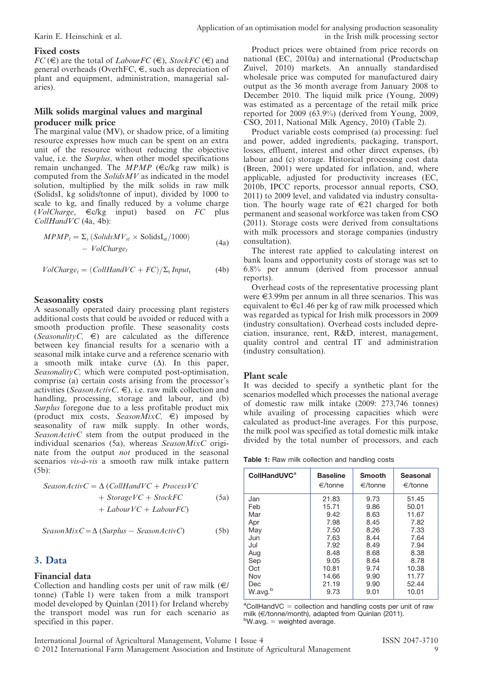# Fixed costs

 $FC (\epsilon)$  are the total of *LabourFC* ( $\epsilon$ ), *StockFC* ( $\epsilon$ ) and general overheads (OverhFC,  $\in$ , such as depreciation of plant and equipment, administration, managerial salaries).

# Milk solids marginal values and marginal producer milk price

The marginal value (MV), or shadow price, of a limiting resource expresses how much can be spent on an extra unit of the resource without reducing the objective value, i.e. the Surplus, when other model specifications remain unchanged. The MPMP ( $\in$ c/kg raw milk) is computed from the SolidsMV as indicated in the model solution, multiplied by the milk solids in raw milk (SolidsI, kg solids/tonne of input), divided by 1000 to scale to kg, and finally reduced by a volume charge  $(Volcharge, \epsilon c/kg$  input) based on FC plus  $CollHandVC$  (4a, 4b):

$$
MPMPt = \sum_{s} (SolidsMVst \times SolidsIst/1000)
$$
  
- *VolCharge<sub>t</sub>* (4a)

 $VolChange_t = (CollHandVC + FC)/\Sigma_t Input_t$  (4b)

# Seasonality costs

A seasonally operated dairy processing plant registers additional costs that could be avoided or reduced with a smooth production profile. These seasonality costs (SeasonalityC,  $\epsilon$ ) are calculated as the difference between key financial results for a scenario with a seasonal milk intake curve and a reference scenario with a smooth milk intake curve  $(\Delta)$ . In this paper, SeasonalityC, which were computed post-optimisation, comprise (a) certain costs arising from the processor's activities (SeasonActivC,  $\in$ ), i.e. raw milk collection and handling, processing, storage and labour, and (b) Surplus foregone due to a less profitable product mix (product mix costs, SeasonMixC,  $\epsilon$ ) imposed by seasonality of raw milk supply. In other words, SeasonActivC stem from the output produced in the individual scenarios (5a), whereas  $SeasonMixC$  originate from the output not produced in the seasonal scenarios vis-à-vis a smooth raw milk intake pattern (5b):

$$
SeasonActivC = \Delta (CollHandVC + ProcessVC + StorageVC + StockFC + LaboratoryC + Laboratory(C)
$$
 (5a)

 $SeasonMixC = \Delta (Surplus - SeasonActiveC)$  (5b)

# 3. Data

# Financial data

Collection and handling costs per unit of raw milk  $(\epsilon)$ tonne) (Table 1) were taken from a milk transport model developed by Quinlan (2011) for Ireland whereby the transport model was run for each scenario as specified in this paper.

Product prices were obtained from price records on national (EC, 2010a) and international (Productschap Zuivel, 2010) markets. An annually standardised wholesale price was computed for manufactured dairy output as the 36 month average from January 2008 to December 2010. The liquid milk price (Young, 2009) was estimated as a percentage of the retail milk price reported for 2009 (63.9%) (derived from Young, 2009, CSO, 2011, National Milk Agency, 2010) (Table 2).

Product variable costs comprised (a) processing: fuel and power, added ingredients, packaging, transport, losses, effluent, interest and other direct expenses, (b) labour and (c) storage. Historical processing cost data (Breen, 2001) were updated for inflation, and, where applicable, adjusted for productivity increases (EC, 2010b, IPCC reports, processor annual reports, CSO, 2011) to 2009 level, and validated via industry consultation. The hourly wage rate of  $\in 21$  charged for both permanent and seasonal workforce was taken from CSO (2011). Storage costs were derived from consultations with milk processors and storage companies (industry consultation).

The interest rate applied to calculating interest on bank loans and opportunity costs of storage was set to 6.8% per annum (derived from processor annual reports).

Overhead costs of the representative processing plant were  $\epsilon$ 3.99m per annum in all three scenarios. This was equivalent to  $\in$ c1.46 per kg of raw milk processed which was regarded as typical for Irish milk processors in 2009 (industry consultation). Overhead costs included depreciation, insurance, rent, R&D, interest, management, quality control and central IT and administration (industry consultation).

# Plant scale

It was decided to specify a synthetic plant for the scenarios modelled which processes the national average of domestic raw milk intake (2009: 273,746 tonnes) while availing of processing capacities which were calculated as product-line averages. For this purpose, the milk pool was specified as total domestic milk intake divided by the total number of processors, and each

| <b>Table 1:</b> Raw milk collection and handling costs |
|--------------------------------------------------------|
|--------------------------------------------------------|

| <b>CollHandUVC<sup>a</sup></b> | <b>Baseline</b><br>€/tonne | <b>Smooth</b><br>€/tonne | <b>Seasonal</b><br>$\in$ /tonne |
|--------------------------------|----------------------------|--------------------------|---------------------------------|
| Jan                            | 21.83                      | 9.73                     | 51.45                           |
| Feb                            | 15.71                      | 9.86                     | 50.01                           |
| Mar                            | 9.42                       | 8.63                     | 11.67                           |
| Apr                            | 7.98                       | 8.45                     | 7.82                            |
| May                            | 7.50                       | 8.26                     | 7.33                            |
| Jun                            | 7.63                       | 8.44                     | 7.64                            |
| Jul                            | 7.92                       | 8.49                     | 7.94                            |
| Aug                            | 8.48                       | 8.68                     | 8.38                            |
| Sep                            | 9.05                       | 8.64                     | 8.78                            |
| Oct                            | 10.81                      | 9.74                     | 10.38                           |
| Nov                            | 14.66                      | 9.90                     | 11.77                           |
| Dec                            | 21.19                      | 9.90                     | 52.44                           |
| b<br>W.avg.                    | 9.73                       | 9.01                     | 10.01                           |

 ${}^a$ CollHandVC = collection and handling costs per unit of raw milk ( $\in$ /tonne/month), adapted from Quinlan (2011).  $^{b}$ W.avg. = weighted average.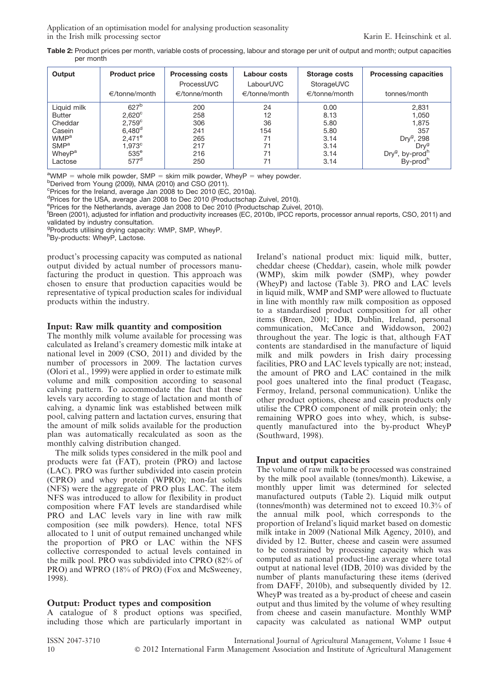Application of an optimisation model for analysing production seasonality in the Irish milk processing sector Karin E. Heinschink et al.

Table 2: Product prices per month, variable costs of processing, labour and storage per unit of output and month; output capacities per month

| Output                  | <b>Product price</b><br>$\in$ /tonne/month | <b>Processing costs</b><br>ProcessUVC<br>$\in$ /tonne/month | Labour costs<br>LabourUVC<br>$\in$ /tonne/month | Storage costs<br>StorageUVC<br>$\in$ /tonne/month | <b>Processing capacities</b><br>tonnes/month |
|-------------------------|--------------------------------------------|-------------------------------------------------------------|-------------------------------------------------|---------------------------------------------------|----------------------------------------------|
| Liquid milk             | 627 <sup>b</sup>                           | 200                                                         | 24                                              | 0.00                                              | 2,831                                        |
| <b>Butter</b>           | $2,620^\circ$                              | 258                                                         | 12                                              | 8.13                                              | 1,050                                        |
| Cheddar                 | 2.759 <sup>c</sup>                         | 306                                                         | 36                                              | 5.80                                              | 1,875                                        |
| Casein                  | $6,480^d$                                  | 241                                                         | 154                                             | 5.80                                              | 357                                          |
| <b>WMP</b> <sup>a</sup> | $2.471^{\circ}$                            | 265                                                         | 71                                              | 3.14                                              | Dry <sup>9</sup> , 298                       |
| SMP <sup>a</sup>        | 1.973c                                     | 217                                                         | 71                                              | 3.14                                              | Drv <sup>9</sup>                             |
| WheyP <sup>a</sup>      | $535^{\circ}$                              | 216                                                         | 71                                              | 3.14                                              | Dry <sup>g</sup> , by-prod <sup>h</sup>      |
| Lactose                 | 577 <sup>d</sup>                           | 250                                                         | 71                                              | 3.14                                              | By-prod <sup>h</sup>                         |

<sup>a</sup>WMP = whole milk powder, SMP = skim milk powder, WheyP = whey powder.<br>**bDorived from Young (2000), NMA (2010)** and CSO (2011).

<sup>b</sup>Derived from Young (2009), NMA (2010) and CSO (2011).

c Prices for the Ireland, average Jan 2008 to Dec 2010 (EC, 2010a).

d Prices for the USA, average Jan 2008 to Dec 2010 (Productschap Zuivel, 2010).

e Prices for the Netherlands, average Jan 2008 to Dec 2010 (Productschap Zuivel, 2010).

f Breen (2001), adjusted for inflation and productivity increases (EC, 2010b, IPCC reports, processor annual reports, CSO, 2011) and validated by industry consultation.

<sup>9</sup>Products utilising drying capacity: WMP, SMP, WheyP.

h By-products: WheyP, Lactose.

product's processing capacity was computed as national output divided by actual number of processors manufacturing the product in question. This approach was chosen to ensure that production capacities would be representative of typical production scales for individual products within the industry.

### Input: Raw milk quantity and composition

The monthly milk volume available for processing was calculated as Ireland's creamery domestic milk intake at national level in 2009 (CSO, 2011) and divided by the number of processors in 2009. The lactation curves (Olori et al., 1999) were applied in order to estimate milk volume and milk composition according to seasonal calving pattern. To accommodate the fact that these levels vary according to stage of lactation and month of calving, a dynamic link was established between milk pool, calving pattern and lactation curves, ensuring that the amount of milk solids available for the production plan was automatically recalculated as soon as the monthly calving distribution changed.

The milk solids types considered in the milk pool and products were fat (FAT), protein (PRO) and lactose (LAC). PRO was further subdivided into casein protein (CPRO) and whey protein (WPRO); non-fat solids (NFS) were the aggregate of PRO plus LAC. The item NFS was introduced to allow for flexibility in product composition where FAT levels are standardised while PRO and LAC levels vary in line with raw milk composition (see milk powders). Hence, total NFS allocated to 1 unit of output remained unchanged while the proportion of PRO or LAC within the NFS collective corresponded to actual levels contained in the milk pool. PRO was subdivided into CPRO (82% of PRO) and WPRO (18% of PRO) (Fox and McSweeney, 1998).

# Output: Product types and composition

A catalogue of 8 product options was specified, including those which are particularly important in Ireland's national product mix: liquid milk, butter, cheddar cheese (Cheddar), casein, whole milk powder (WMP), skim milk powder (SMP), whey powder (WheyP) and lactose (Table 3). PRO and LAC levels in liquid milk, WMP and SMP were allowed to fluctuate in line with monthly raw milk composition as opposed to a standardised product composition for all other items (Breen, 2001; IDB, Dublin, Ireland, personal communication, McCance and Widdowson, 2002) throughout the year. The logic is that, although FAT contents are standardised in the manufacture of liquid milk and milk powders in Irish dairy processing facilities, PRO and LAC levels typically are not; instead, the amount of PRO and LAC contained in the milk pool goes unaltered into the final product (Teagasc, Fermoy, Ireland, personal communication). Unlike the other product options, cheese and casein products only utilise the CPRO component of milk protein only; the remaining WPRO goes into whey, which, is subsequently manufactured into the by-product WheyP (Southward, 1998).

# Input and output capacities

The volume of raw milk to be processed was constrained by the milk pool available (tonnes/month). Likewise, a monthly upper limit was determined for selected manufactured outputs (Table 2). Liquid milk output (tonnes/month) was determined not to exceed 10.3% of the annual milk pool, which corresponds to the proportion of Ireland's liquid market based on domestic milk intake in 2009 (National Milk Agency, 2010), and divided by 12. Butter, cheese and casein were assumed to be constrained by processing capacity which was computed as national product-line average where total output at national level (IDB, 2010) was divided by the number of plants manufacturing these items (derived from DAFF, 2010b), and subsequently divided by 12. WheyP was treated as a by-product of cheese and casein output and thus limited by the volume of whey resulting from cheese and casein manufacture. Monthly WMP capacity was calculated as national WMP output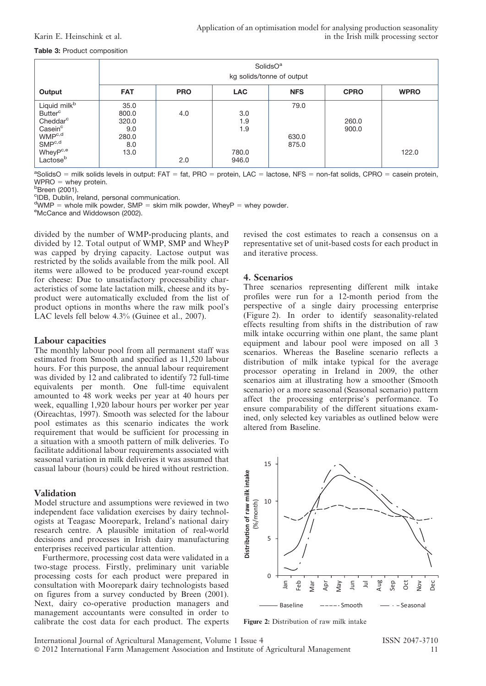#### Table 3: Product composition

|                                                                                                                                                                                                   |                                                       |            |                                     | SolidsO <sup>a</sup><br>kg solids/tonne of output |                |             |
|---------------------------------------------------------------------------------------------------------------------------------------------------------------------------------------------------|-------------------------------------------------------|------------|-------------------------------------|---------------------------------------------------|----------------|-------------|
| Output                                                                                                                                                                                            | <b>FAT</b>                                            | <b>PRO</b> | <b>LAC</b>                          | <b>NFS</b>                                        | <b>CPRO</b>    | <b>WPRO</b> |
| Liquid milk <sup>b</sup><br><b>Butter</b> <sup>c</sup><br>Cheddar <sup>c</sup><br>Casein <sup>c</sup><br>WMP <sup>c,d</sup><br>SMP <sup>c,d</sup><br>WheyP <sup>c,e</sup><br>Lactose <sup>b</sup> | 35.0<br>800.0<br>320.0<br>9.0<br>280.0<br>8.0<br>13.0 | 4.0<br>2.0 | 3.0<br>1.9<br>1.9<br>780.0<br>946.0 | 79.0<br>630.0<br>875.0                            | 260.0<br>900.0 | 122.0       |

<sup>a</sup>SolidsO = milk solids levels in output: FAT = fat, PRO = protein, LAC = lactose, NFS = non-fat solids, CPRO = casein protein,  $WPRO$  = whey protein.

<sup>b</sup>Breen (2001).

c IDB, Dublin, Ireland, personal communication.

<sup>d</sup>WMP = whole milk powder, SMP = skim milk powder, WheyP = whey powder.<br><sup>eMcCance and Widdowson (2002)</sup>

<sup>e</sup>McCance and Widdowson (2002).

divided by the number of WMP-producing plants, and divided by 12. Total output of WMP, SMP and WheyP was capped by drying capacity. Lactose output was restricted by the solids available from the milk pool. All items were allowed to be produced year-round except for cheese: Due to unsatisfactory processability characteristics of some late lactation milk, cheese and its byproduct were automatically excluded from the list of product options in months where the raw milk pool's LAC levels fell below 4.3% (Guinee et al., 2007).

#### Labour capacities

The monthly labour pool from all permanent staff was estimated from Smooth and specified as 11,520 labour hours. For this purpose, the annual labour requirement was divided by 12 and calibrated to identify 72 full-time equivalents per month. One full-time equivalent amounted to 48 work weeks per year at 40 hours per week, equalling 1,920 labour hours per worker per year (Oireachtas, 1997). Smooth was selected for the labour pool estimates as this scenario indicates the work requirement that would be sufficient for processing in a situation with a smooth pattern of milk deliveries. To facilitate additional labour requirements associated with seasonal variation in milk deliveries it was assumed that casual labour (hours) could be hired without restriction.

### Validation

Model structure and assumptions were reviewed in two independent face validation exercises by dairy technologists at Teagasc Moorepark, Ireland's national dairy research centre. A plausible imitation of real-world decisions and processes in Irish dairy manufacturing enterprises received particular attention.

Furthermore, processing cost data were validated in a two-stage process. Firstly, preliminary unit variable processing costs for each product were prepared in consultation with Moorepark dairy technologists based on figures from a survey conducted by Breen (2001). Next, dairy co-operative production managers and management accountants were consulted in order to calibrate the cost data for each product. The experts revised the cost estimates to reach a consensus on a representative set of unit-based costs for each product in and iterative process.

### 4. Scenarios

Three scenarios representing different milk intake profiles were run for a 12-month period from the perspective of a single dairy processing enterprise (Figure 2). In order to identify seasonality-related effects resulting from shifts in the distribution of raw milk intake occurring within one plant, the same plant equipment and labour pool were imposed on all 3 scenarios. Whereas the Baseline scenario reflects a distribution of milk intake typical for the average processor operating in Ireland in 2009, the other scenarios aim at illustrating how a smoother (Smooth scenario) or a more seasonal (Seasonal scenario) pattern affect the processing enterprise's performance. To ensure comparability of the different situations examined, only selected key variables as outlined below were altered from Baseline.



Figure 2: Distribution of raw milk intake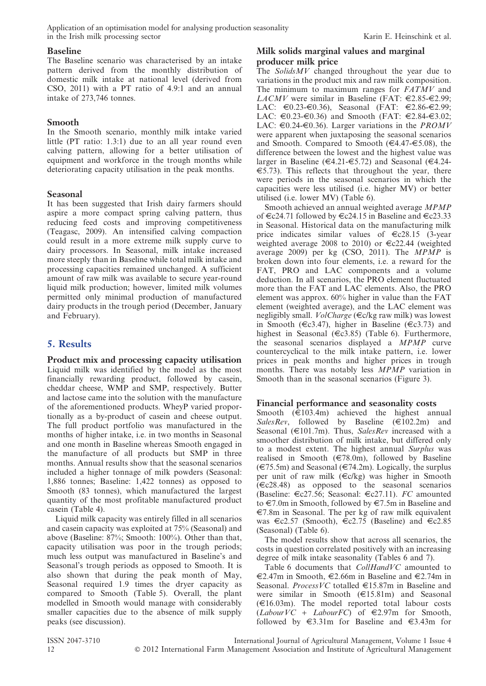# Baseline

The Baseline scenario was characterised by an intake pattern derived from the monthly distribution of domestic milk intake at national level (derived from CSO, 2011) with a PT ratio of 4.9:1 and an annual intake of 273,746 tonnes.

# Smooth

In the Smooth scenario, monthly milk intake varied little (PT ratio: 1.3:1) due to an all year round even calving pattern, allowing for a better utilisation of equipment and workforce in the trough months while deteriorating capacity utilisation in the peak months.

# Seasonal

It has been suggested that Irish dairy farmers should aspire a more compact spring calving pattern, thus reducing feed costs and improving competitiveness (Teagasc, 2009). An intensified calving compaction could result in a more extreme milk supply curve to dairy processors. In Seasonal, milk intake increased more steeply than in Baseline while total milk intake and processing capacities remained unchanged. A sufficient amount of raw milk was available to secure year-round liquid milk production; however, limited milk volumes permitted only minimal production of manufactured dairy products in the trough period (December, January and February).

# 5. Results

Product mix and processing capacity utilisation Liquid milk was identified by the model as the most financially rewarding product, followed by casein, cheddar cheese, WMP and SMP, respectively. Butter and lactose came into the solution with the manufacture of the aforementioned products. WheyP varied proportionally as a by-product of casein and cheese output. The full product portfolio was manufactured in the months of higher intake, i.e. in two months in Seasonal and one month in Baseline whereas Smooth engaged in the manufacture of all products but SMP in three months. Annual results show that the seasonal scenarios included a higher tonnage of milk powders (Seasonal: 1,886 tonnes; Baseline: 1,422 tonnes) as opposed to Smooth (83 tonnes), which manufactured the largest quantity of the most profitable manufactured product casein (Table 4).

Liquid milk capacity was entirely filled in all scenarios and casein capacity was exploited at 75% (Seasonal) and above (Baseline: 87%; Smooth: 100%). Other than that, capacity utilisation was poor in the trough periods; much less output was manufactured in Baseline's and Seasonal's trough periods as opposed to Smooth. It is also shown that during the peak month of May, Seasonal required 1.9 times the dryer capacity as compared to Smooth (Table 5). Overall, the plant modelled in Smooth would manage with considerably smaller capacities due to the absence of milk supply peaks (see discussion).

# Milk solids marginal values and marginal producer milk price

The Solids  $MV$  changed throughout the year due to variations in the product mix and raw milk composition. The minimum to maximum ranges for FATMV and LACMV were similar in Baseline (FAT:  $\in 2.85 - \in 2.99$ ; LAC:  $\in 0.23 - \in 0.36$ ), Seasonal (FAT:  $\in 2.86 - \in 2.99$ ; LAC:  $\in 0.23 - \in 0.36$  and Smooth (FAT:  $\in 2.84 - \in 3.02$ ; LAC:  $\in 0.24 - \in 0.36$ ). Larger variations in the *PROMV* were apparent when juxtaposing the seasonal scenarios and Smooth. Compared to Smooth ( $\in$ 4.47- $\in$ 5.08), the difference between the lowest and the highest value was larger in Baseline ( $\in$ 4.21- $\in$ 5.72) and Seasonal ( $\in$ 4.24- $\epsilon$ 5.73). This reflects that throughout the year, there were periods in the seasonal scenarios in which the capacities were less utilised (i.e. higher MV) or better utilised (i.e. lower MV) (Table 6).

Smooth achieved an annual weighted average MPMP of  $\in$  c24.71 followed by  $\in$  c24.15 in Baseline and  $\in$  c23.33 in Seasonal. Historical data on the manufacturing milk price indicates similar values of  $\epsilon$ c28.15 (3-year weighted average 2008 to 2010) or  $\epsilon$ c22.44 (weighted average 2009) per kg (CSO, 2011). The MPMP is broken down into four elements, i.e. a reward for the FAT, PRO and LAC components and a volume deduction. In all scenarios, the PRO element fluctuated more than the FAT and LAC elements. Also, the PRO element was approx. 60% higher in value than the FAT element (weighted average), and the LAC element was negligibly small. *VolCharge* ( $\in$ c/kg raw milk) was lowest in Smooth ( $\in$ c3.47), higher in Baseline ( $\in$ c3.73) and highest in Seasonal ( $\in$ c3.85) (Table 6). Furthermore, the seasonal scenarios displayed a MPMP curve countercyclical to the milk intake pattern, i.e. lower prices in peak months and higher prices in trough months. There was notably less MPMP variation in Smooth than in the seasonal scenarios (Figure 3).

# Financial performance and seasonality costs

Smooth  $(E103.4m)$  achieved the highest annual  $SalesRev,$  followed by Baseline ( $\text{£102.2m}$ ) and Seasonal ( $\in$ 101.7m). Thus, SalesRev increased with a smoother distribution of milk intake, but differed only to a modest extent. The highest annual Surplus was realised in Smooth ( $\in$ 78.0m), followed by Baseline  $(\text{\textsterling}75.5m)$  and Seasonal ( $\text{\textsterling}74.2m$ ). Logically, the surplus per unit of raw milk  $(\infty kg)$  was higher in Smooth  $(\infty 28.48)$  as opposed to the seasonal scenarios (Baseline:  $\epsilon$ c27.56; Seasonal:  $\epsilon$ c27.11). FC amounted to  $\text{\large $\in$}7.0$ m in Smooth, followed by  $\text{\large $\in$}7.5$ m in Baseline and  $E$ 7.8m in Seasonal. The per kg of raw milk equivalent was  $\epsilon$ c2.57 (Smooth),  $\epsilon$ c2.75 (Baseline) and  $\epsilon$ c2.85 (Seasonal) (Table 6).

The model results show that across all scenarios, the costs in question correlated positively with an increasing degree of milk intake seasonality (Tables 6 and 7).

Table 6 documents that *CollHandVC* amounted to  $\epsilon$ 2.47m in Smooth,  $\epsilon$ 2.66m in Baseline and  $\epsilon$ 2.74m in Seasonal. *ProcessVC* totalled  $\in$ 15.87m in Baseline and were similar in Smooth  $(\text{£}15.81m)$  and Seasonal  $(\text{€16.03m})$ . The model reported total labour costs  $(LabourVC + LabourFC)$  of  $\in 2.97m$  for Smooth, followed by  $\in$ 3.31m for Baseline and  $\in$ 3.43m for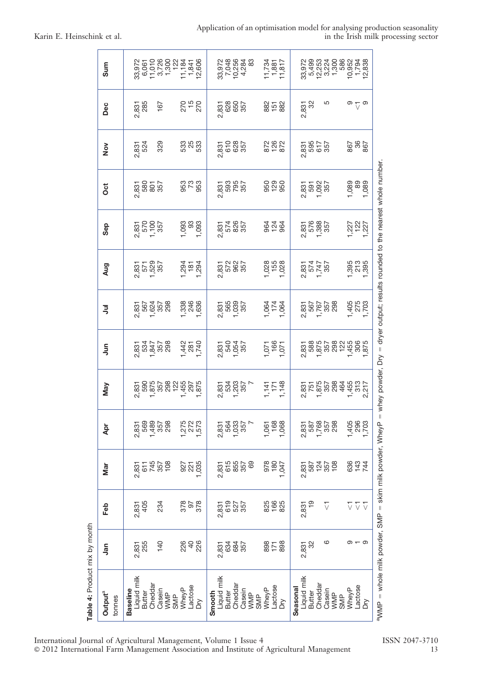|  | Application of an optimisation model for analysing production seasonality |  |  |  |                                     |
|--|---------------------------------------------------------------------------|--|--|--|-------------------------------------|
|  |                                                                           |  |  |  | in the Irish milk processing sector |

| Table 4: Product mix by month                               |                            |                                        |                                   |                              |                              |                                    |                                        |                                 |                              |                                                                                |                            |                            |                                          |
|-------------------------------------------------------------|----------------------------|----------------------------------------|-----------------------------------|------------------------------|------------------------------|------------------------------------|----------------------------------------|---------------------------------|------------------------------|--------------------------------------------------------------------------------|----------------------------|----------------------------|------------------------------------------|
| Output <sup>a</sup><br>tonnes                               | <u>ក្ខព</u>                | Feb                                    | Mar                               | Apr                          | Nay                          | $\bar{5}$                          | ミ                                      | Aug                             | Sep                          | ö                                                                              | $\frac{8}{2}$              | Dec                        | Sum                                      |
| Liquid milk<br>Cheddar<br><b>Baseline</b><br>Butter         | 255<br>2,831               | 2,831<br>405                           | 545<br>745<br>757<br>108<br>2,831 | 569<br>2,831                 |                              | 2<br>2347<br>2347<br>2357<br>2358  | 2<br>8224<br>8247<br>82478             | 2,831<br>571<br>1,529<br>157    | 2,831<br>570<br>1,100<br>357 | 2,831<br>580<br>357<br>357                                                     | 2,831<br>524               | 2,831<br>285               | 33,972<br>6,061<br>11,010                |
| Casein<br>WMP<br>SMP                                        | 140                        | 234                                    |                                   | 1,489<br>7557<br>298         |                              |                                    |                                        |                                 |                              |                                                                                | 329                        | 167                        | 3,726<br>1,300<br>122                    |
| Lactose<br>WheyP<br>Dη                                      | 226<br>48                  | 878<br>26<br>878                       | 927<br>221<br>1,035               | 1,275<br>1,572<br>1,573      |                              | $1,742$<br>$781$<br>$742$<br>$742$ | 1,338<br>246<br>1,636                  | $7,294$<br>$7,294$<br>$1,294$   | 1,093<br>093<br>1,093        | 352<br>363                                                                     | 33<br>38<br>33             | 24<br>25<br>27<br>27       | 12,606<br>11,184<br>1,841                |
| Liquid milk<br>Cheddar<br>Casein<br><b>Butter</b><br>Smooth | 634<br>684<br>357<br>2,831 | 619<br>527<br>357<br>2,831             | 615<br>855<br>357<br>2,831        | 2,831<br>564<br>1,033<br>357 | 1<br>23403<br>534037<br>5357 | 2,831<br>540<br>1,054<br>257       | 2,831<br>565<br>1,039<br>1357          | 2,831<br>572<br>2,962<br>2,957  | 2,831<br>574<br>256<br>357   | 2,831<br>593<br>2,957<br>2,557                                                 | 2,831<br>610<br>628<br>357 | 2,831<br>628<br>557<br>357 | 33,972<br>7,048<br>10,256<br>4,284<br>83 |
| Lactose<br>WheyP<br>WMP<br><b>SMP</b><br>$\geq$             | 8078                       | 825<br>066<br>826                      | 978<br>69<br>180<br>1,047         | 1,061<br>1,068<br>1,068      | $1,141$<br>$1,71$<br>$1,148$ | 1,071<br>166<br>1,071              | <b>92797</b><br>874                    | 1,028<br>155<br>1,028           | 828<br>828                   | 828<br>828                                                                     | 872<br>878                 | 88788                      | 11,734<br>11,817<br>1,881                |
| Liquid milk<br>Seasonal<br>Butter                           | 2,831<br>32                | $\frac{6}{1}$<br>2,831                 | 587<br>124<br>2,831               | 587<br>2,831                 |                              |                                    |                                        | 2,831<br>5747<br>1,747<br>1,857 | 2,831<br>576<br>1,388<br>157 | 2,831<br>591<br>1,092<br>157                                                   | 2,831<br>595<br>617<br>357 | 2,831<br>32                | 5,499<br>12,253<br>33,972                |
| Cheddar<br>Casein<br>WMP<br>SMP                             | ဖ                          | $\overline{\vee}$                      | 357<br>108                        | 1,768<br>357<br>298          |                              |                                    | 2,831<br>567<br>1,767<br>2,88<br>2,768 |                                 |                              |                                                                                |                            | 5                          | 586<br>3,224<br>1,300                    |
| -actose<br>WheyP                                            | — თ<br>თ                   | $\overline{\vee}$<br>$\overline{\vee}$ | 844<br>843                        | 1,405<br>296<br>1,703        |                              |                                    | 1,405<br>275<br>1,703                  | 1,395<br>213<br>1,395           | 1,227<br>1227<br>1,227       | 1,089<br>880<br>1,089                                                          | 298<br>298                 | တ<br>$\overline{\vee}$     | 10,952<br>1,794<br>12,838                |
| δň                                                          |                            | $\overline{\vee}$                      |                                   |                              |                              |                                    |                                        |                                 |                              |                                                                                |                            | တ                          |                                          |
| aWMP = whole milk powder, SMP = skim milk powder, WheyP =   |                            |                                        |                                   |                              |                              |                                    |                                        |                                 |                              | whey powder, $Dry =$ dryer output; results rounded to the nearest whole number |                            |                            |                                          |

International Journal of Agricultural Management, Volume 1 Issue 4 ISSN 2047-3710 ' 2012 International Farm Management Association and Institute of Agricultural Management 13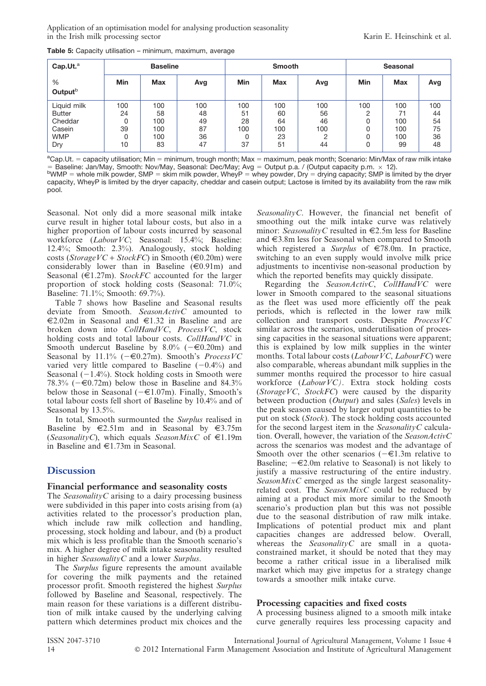Application of an optimisation model for analysing production seasonality in the Irish milk processing sector **E.** The Irish milk processing sector **Karin E. Heinschink et al.** 

| Cap.Ut. <sup>a</sup>     |            | <b>Baseline</b> |     | <b>Smooth</b> |            |     |            | <b>Seasonal</b> |     |  |
|--------------------------|------------|-----------------|-----|---------------|------------|-----|------------|-----------------|-----|--|
| %<br>Output <sup>b</sup> | <b>Min</b> | <b>Max</b>      | Avg | <b>Min</b>    | <b>Max</b> | Avg | <b>Min</b> | <b>Max</b>      | Avg |  |
| Liquid milk              | 100        | 100             | 100 | 100           | 100        | 100 | 100        | 100             | 100 |  |
| <b>Butter</b>            | 24         | 58              | 48  | 51            | 60         | 56  | ∩          | 71              | 44  |  |
| Cheddar                  | 0          | 100             | 49  | 28            | 64         | 46  |            | 100             | 54  |  |
| Casein                   | 39         | 100             | 87  | 100           | 100        | 100 |            | 100             | 75  |  |
| <b>WMP</b>               | 0          | 100             | 36  | 0             | 23         | ∩   |            | 100             | 36  |  |
| Dry                      | 10         | 83              | 47  | 37            | 51         | 44  | Ω          | 99              | 48  |  |

Table 5: Capacity utilisation – minimum, maximum, average

<sup>a</sup>Cap.Ut. = capacity utilisation; Min = minimum, trough month; Max = maximum, peak month; Scenario: Min/Max of raw milk intake  $=$  Baseline: Jan/May, Smooth: Nov/May, Seasonal: Dec/May; Avg  $=$  Output p.a. / (Output capacity p.m.  $\times$  12).  $b$ WMP = whole milk powder, SMP = skim milk powder, WheyP = whey powder, Dry = drying capacity; SMP is limited by the dryer

capacity, WheyP is limited by the dryer capacity, cheddar and casein output; Lactose is limited by its availability from the raw milk pool.

Seasonal. Not only did a more seasonal milk intake curve result in higher total labour costs, but also in a higher proportion of labour costs incurred by seasonal workforce (Labour VC; Seasonal: 15.4%; Baseline: 12.4%; Smooth: 2.3%). Analogously, stock holding costs (StorageVC + StockFC) in Smooth ( $\in$ 0.20m) were considerably lower than in Baseline  $(\epsilon 0.91m)$  and Seasonal ( $\epsilon$ 1.27m). StockFC accounted for the larger proportion of stock holding costs (Seasonal: 71.0%; Baseline: 71.1%; Smooth: 69.7%).

Table 7 shows how Baseline and Seasonal results deviate from Smooth. SeasonActivC amounted to  $\epsilon$ 2.02m in Seasonal and  $\epsilon$ 1.32 in Baseline and are broken down into CollHandVC, ProcessVC, stock holding costs and total labour costs. CollHandVC in Smooth undercut Baseline by 8.0% ( $-\in$ 0.20m) and Seasonal by 11.1% ( $-\in 0.27$ m). Smooth's *ProcessVC* varied very little compared to Baseline  $(-0.4\%)$  and Seasonal  $(-1.4\%)$ . Stock holding costs in Smooth were 78.3% ( $-\epsilon$ 0.72m) below those in Baseline and 84.3% below those in Seasonal ( $-\epsilon 1.07$ m). Finally, Smooth's total labour costs fell short of Baseline by 10.4% and of Seasonal by 13.5%.

In total, Smooth surmounted the Surplus realised in Baseline by  $\in$ 2.51m and in Seasonal by  $\in$ 3.75m (SeasonalityC), which equals SeasonMixC of  $\in$ 1.19m in Baseline and  $\in$ 1.73m in Seasonal.

# **Discussion**

### Financial performance and seasonality costs

The *SeasonalityC* arising to a dairy processing business were subdivided in this paper into costs arising from (a) activities related to the processor's production plan, which include raw milk collection and handling, processing, stock holding and labour, and (b) a product mix which is less profitable than the Smooth scenario's mix. A higher degree of milk intake seasonality resulted in higher SeasonalityC and a lower Surplus.

The Surplus figure represents the amount available for covering the milk payments and the retained processor profit. Smooth registered the highest Surplus followed by Baseline and Seasonal, respectively. The main reason for these variations is a different distribution of milk intake caused by the underlying calving pattern which determines product mix choices and the SeasonalityC. However, the financial net benefit of smoothing out the milk intake curve was relatively minor: SeasonalityC resulted in  $\in$ 2.5m less for Baseline and  $\epsilon$ 3.8m less for Seasonal when compared to Smooth which registered a Surplus of  $\in 78.0$ m. In practice, switching to an even supply would involve milk price adjustments to incentivise non-seasonal production by which the reported benefits may quickly dissipate.

Regarding the SeasonActivC, CollHandVC were lower in Smooth compared to the seasonal situations as the fleet was used more efficiently off the peak periods, which is reflected in the lower raw milk collection and transport costs. Despite ProcessVC similar across the scenarios, underutilisation of processing capacities in the seasonal situations were apparent; this is explained by low milk supplies in the winter months. Total labour costs (*Labour VC*, *Labour FC*) were also comparable, whereas abundant milk supplies in the summer months required the processor to hire casual workforce (LabourVC). Extra stock holding costs (Storage  $VC$ , Stock $FC$ ) were caused by the disparity between production (Output) and sales (Sales) levels in the peak season caused by larger output quantities to be put on stock (Stock). The stock holding costs accounted for the second largest item in the SeasonalityC calculation. Overall, however, the variation of the SeasonActivC across the scenarios was modest and the advantage of Smooth over the other scenarios  $(-\epsilon 1.3m$  relative to Baseline;  $-\epsilon 2.0$ m relative to Seasonal) is not likely to justify a massive restructuring of the entire industry. SeasonMixC emerged as the single largest seasonalityrelated cost. The SeasonMixC could be reduced by aiming at a product mix more similar to the Smooth scenario's production plan but this was not possible due to the seasonal distribution of raw milk intake. Implications of potential product mix and plant capacities changes are addressed below. Overall, whereas the *SeasonalityC* are small in a quotaconstrained market, it should be noted that they may become a rather critical issue in a liberalised milk market which may give impetus for a strategy change towards a smoother milk intake curve.

# Processing capacities and fixed costs

A processing business aligned to a smooth milk intake curve generally requires less processing capacity and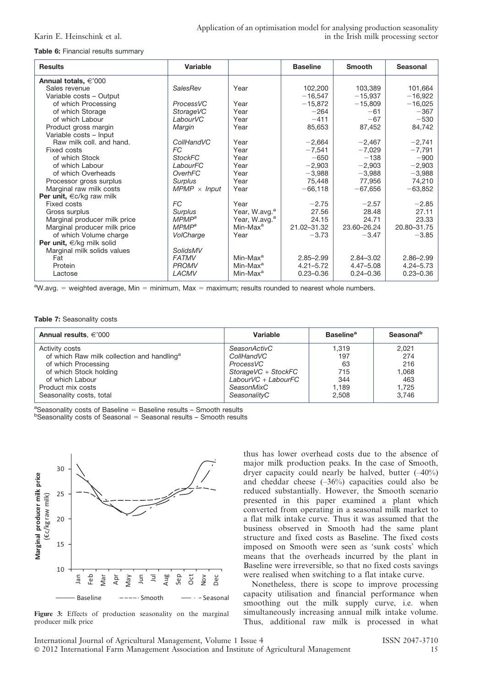Table 6: Financial results summary

| <b>Results</b>                     | Variable            |                           | <b>Baseline</b> | <b>Smooth</b> | <b>Seasonal</b> |
|------------------------------------|---------------------|---------------------------|-----------------|---------------|-----------------|
| Annual totals, $\epsilon$ '000     |                     |                           |                 |               |                 |
| Sales revenue                      | SalesRev            | Year                      | 102,200         | 103,389       | 101,664         |
| Variable costs - Output            |                     |                           | $-16,547$       | $-15,937$     | $-16,922$       |
| of which Processing                | ProcessVC           | Year                      | $-15,872$       | $-15,809$     | $-16,025$       |
| of which Storage                   | StorageVC           | Year                      | $-264$          | $-61$         | $-367$          |
| of which Labour                    | LabourVC            | Year                      | $-411$          | $-67$         | $-530$          |
| Product gross margin               | Margin              | Year                      | 85,653          | 87,452        | 84,742          |
| Variable costs - Input             |                     |                           |                 |               |                 |
| Raw milk coll, and hand.           | CollHandVC          | Year                      | $-2,664$        | $-2,467$      | $-2,741$        |
| Fixed costs                        | FC.                 | Year                      | $-7,541$        | $-7,029$      | $-7,791$        |
| of which Stock                     | <b>StockFC</b>      | Year                      | $-650$          | $-138$        | $-900$          |
| of which Labour                    | LabourFC            | Year                      | $-2,903$        | $-2,903$      | $-2,903$        |
| of which Overheads                 | OverhFC             | Year                      | $-3.988$        | $-3.988$      | $-3.988$        |
| Processor gross surplus            | <b>Surplus</b>      | Year                      | 75,448          | 77,956        | 74,210          |
| Marginal raw milk costs            | $MPMP \times Input$ | Year                      | $-66,118$       | $-67,656$     | $-63,852$       |
| Per unit, $\epsilon c/kg$ raw milk |                     |                           |                 |               |                 |
| Fixed costs                        | <b>FC</b>           | Year                      | $-2.75$         | $-2.57$       | $-2.85$         |
| Gross surplus                      | <b>Surplus</b>      | Year, W.avg. <sup>a</sup> | 27.56           | 28.48         | 27.11           |
| Marginal producer milk price       | MPMP <sup>a</sup>   | Year, W.avg. <sup>a</sup> | 24.15           | 24.71         | 23.33           |
| Marginal producer milk price       | MPMP <sup>a</sup>   | Min-Max <sup>a</sup>      | 21.02-31.32     | 23.60-26.24   | 20.80-31.75     |
| of which Volume charge             | VolCharge           | Year                      | $-3.73$         | $-3.47$       | $-3.85$         |
| Per unit, $\in$ /kg milk solid     |                     |                           |                 |               |                 |
| Marginal milk solids values        | SolidsMV            |                           |                 |               |                 |
| Fat                                | <b>FATMV</b>        | Min-Max <sup>a</sup>      | $2.85 - 2.99$   | $2.84 - 3.02$ | $2.86 - 2.99$   |
| Protein                            | <b>PROMV</b>        | Min-Max <sup>a</sup>      | $4.21 - 5.72$   | $4.47 - 5.08$ | $4.24 - 5.73$   |
| Lactose                            | LACMV               | Min-Max <sup>a</sup>      | $0.23 - 0.36$   | $0.24 - 0.36$ | $0.23 - 0.36$   |

 $a<sub>W</sub>$ avg. = weighted average, Min = minimum, Max = maximum; results rounded to nearest whole numbers.

#### Table 7: Seasonality costs

| Annual results, $\epsilon$ '000                        | Variable             | <b>Baseline</b> <sup>a</sup> | Seasonal <sup>b</sup> |
|--------------------------------------------------------|----------------------|------------------------------|-----------------------|
| Activity costs                                         | SeasonActivC         | 1.319                        | 2.021                 |
| of which Raw milk collection and handling <sup>a</sup> | CollHandVC           | 197                          | 274                   |
| of which Processing                                    | ProcessVC            | 63                           | 216                   |
| of which Stock holding                                 | StorageVC + StockFC  | 715                          | 1.068                 |
| of which Labour                                        | $LaborVC + LabourFC$ | 344                          | 463                   |
| Product mix costs                                      | SeasonMixC           | 1.189                        | 1.725                 |
| Seasonality costs, total                               | SeasonalityC         | 2,508                        | 3.746                 |

<sup>a</sup>Seasonality costs of Baseline = Baseline results – Smooth results<br>**bSeasonality costs of Seasonal – Seasonal results – Smooth results**  $b$ Seasonality costs of Seasonal = Seasonal results – Smooth results



Figure 3: Effects of production seasonality on the marginal producer milk price

thus has lower overhead costs due to the absence of major milk production peaks. In the case of Smooth, dryer capacity could nearly be halved, butter (–40%) and cheddar cheese  $(-36%)$  capacities could also be reduced substantially. However, the Smooth scenario presented in this paper examined a plant which converted from operating in a seasonal milk market to a flat milk intake curve. Thus it was assumed that the business observed in Smooth had the same plant structure and fixed costs as Baseline. The fixed costs imposed on Smooth were seen as 'sunk costs' which means that the overheads incurred by the plant in Baseline were irreversible, so that no fixed costs savings were realised when switching to a flat intake curve.

Nonetheless, there is scope to improve processing capacity utilisation and financial performance when smoothing out the milk supply curve, i.e. when simultaneously increasing annual milk intake volume. Thus, additional raw milk is processed in what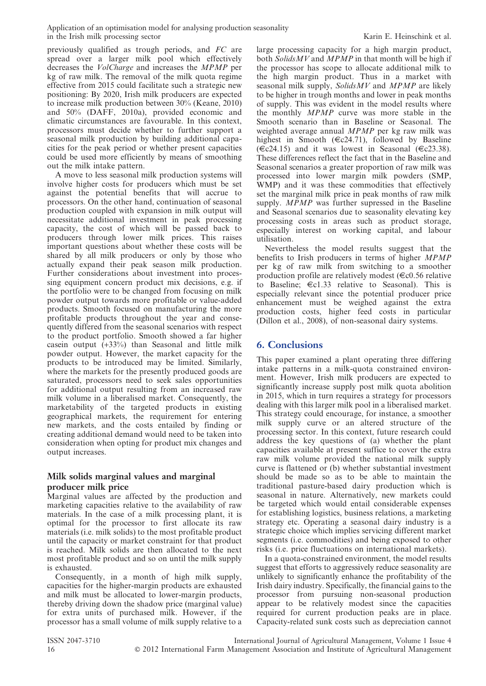previously qualified as trough periods, and FC are spread over a larger milk pool which effectively decreases the VolCharge and increases the MPMP per kg of raw milk. The removal of the milk quota regime effective from 2015 could facilitate such a strategic new positioning: By 2020, Irish milk producers are expected to increase milk production between 30% (Keane, 2010) and 50% (DAFF, 2010a), provided economic and climatic circumstances are favourable. In this context, processors must decide whether to further support a seasonal milk production by building additional capacities for the peak period or whether present capacities could be used more efficiently by means of smoothing out the milk intake pattern.

A move to less seasonal milk production systems will involve higher costs for producers which must be set against the potential benefits that will accrue to processors. On the other hand, continuation of seasonal production coupled with expansion in milk output will necessitate additional investment in peak processing capacity, the cost of which will be passed back to producers through lower milk prices. This raises important questions about whether these costs will be shared by all milk producers or only by those who actually expand their peak season milk production. Further considerations about investment into processing equipment concern product mix decisions, e.g. if the portfolio were to be changed from focusing on milk powder output towards more profitable or value-added products. Smooth focused on manufacturing the more profitable products throughout the year and consequently differed from the seasonal scenarios with respect to the product portfolio. Smooth showed a far higher casein output (+33%) than Seasonal and little milk powder output. However, the market capacity for the products to be introduced may be limited. Similarly, where the markets for the presently produced goods are saturated, processors need to seek sales opportunities for additional output resulting from an increased raw milk volume in a liberalised market. Consequently, the marketability of the targeted products in existing geographical markets, the requirement for entering new markets, and the costs entailed by finding or creating additional demand would need to be taken into consideration when opting for product mix changes and output increases.

# Milk solids marginal values and marginal producer milk price

Marginal values are affected by the production and marketing capacities relative to the availability of raw materials. In the case of a milk processing plant, it is optimal for the processor to first allocate its raw materials (i.e. milk solids) to the most profitable product until the capacity or market constraint for that product is reached. Milk solids are then allocated to the next most profitable product and so on until the milk supply is exhausted.

Consequently, in a month of high milk supply, capacities for the higher-margin products are exhausted and milk must be allocated to lower-margin products, thereby driving down the shadow price (marginal value) for extra units of purchased milk. However, if the processor has a small volume of milk supply relative to a large processing capacity for a high margin product, both  $SolidsMV$  and  $MPMP$  in that month will be high if the processor has scope to allocate additional milk to the high margin product. Thus in a market with seasonal milk supply,  $SolidsMV$  and  $MPMP$  are likely to be higher in trough months and lower in peak months of supply. This was evident in the model results where the monthly MPMP curve was more stable in the Smooth scenario than in Baseline or Seasonal. The weighted average annual MPMP per kg raw milk was highest in Smooth ( $\in$ c24.71), followed by Baseline  $(\epsilon c24.15)$  and it was lowest in Seasonal ( $\epsilon c23.38$ ). These differences reflect the fact that in the Baseline and Seasonal scenarios a greater proportion of raw milk was processed into lower margin milk powders (SMP, WMP) and it was these commodities that effectively set the marginal milk price in peak months of raw milk supply. MPMP was further supressed in the Baseline and Seasonal scenarios due to seasonality elevating key processing costs in areas such as product storage, especially interest on working capital, and labour utilisation.

Nevertheless the model results suggest that the benefits to Irish producers in terms of higher MPMP per kg of raw milk from switching to a smoother production profile are relatively modest ( $\in$ c0.56 relative to Baseline;  $\epsilon$ c1.33 relative to Seasonal). This is especially relevant since the potential producer price enhancement must be weighed against the extra production costs, higher feed costs in particular (Dillon et al., 2008), of non-seasonal dairy systems.

# 6. Conclusions

This paper examined a plant operating three differing intake patterns in a milk-quota constrained environment. However, Irish milk producers are expected to significantly increase supply post milk quota abolition in 2015, which in turn requires a strategy for processors dealing with this larger milk pool in a liberalised market. This strategy could encourage, for instance, a smoother milk supply curve or an altered structure of the processing sector. In this context, future research could address the key questions of (a) whether the plant capacities available at present suffice to cover the extra raw milk volume provided the national milk supply curve is flattened or (b) whether substantial investment should be made so as to be able to maintain the traditional pasture-based dairy production which is seasonal in nature. Alternatively, new markets could be targeted which would entail considerable expenses for establishing logistics, business relations, a marketing strategy etc. Operating a seasonal dairy industry is a strategic choice which implies servicing different market segments (i.e. commodities) and being exposed to other risks (i.e. price fluctuations on international markets).

In a quota-constrained environment, the model results suggest that efforts to aggressively reduce seasonality are unlikely to significantly enhance the profitability of the Irish dairy industry. Specifically, the financial gains to the processor from pursuing non-seasonal production appear to be relatively modest since the capacities required for current production peaks are in place. Capacity-related sunk costs such as depreciation cannot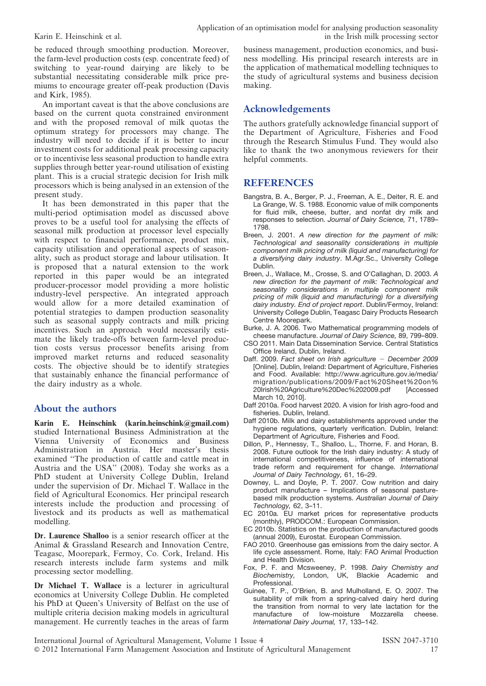be reduced through smoothing production. Moreover, the farm-level production costs (esp. concentrate feed) of switching to year-round dairying are likely to be substantial necessitating considerable milk price premiums to encourage greater off-peak production (Davis and Kirk, 1985).

An important caveat is that the above conclusions are based on the current quota constrained environment and with the proposed removal of milk quotas the optimum strategy for processors may change. The industry will need to decide if it is better to incur investment costs for additional peak processing capacity or to incentivise less seasonal production to handle extra supplies through better year-round utilisation of existing plant. This is a crucial strategic decision for Irish milk processors which is being analysed in an extension of the present study.

It has been demonstrated in this paper that the multi-period optimisation model as discussed above proves to be a useful tool for analysing the effects of seasonal milk production at processor level especially with respect to financial performance, product mix, capacity utilisation and operational aspects of seasonality, such as product storage and labour utilisation. It is proposed that a natural extension to the work reported in this paper would be an integrated producer-processor model providing a more holistic industry-level perspective. An integrated approach would allow for a more detailed examination of potential strategies to dampen production seasonality such as seasonal supply contracts and milk pricing incentives. Such an approach would necessarily estimate the likely trade-offs between farm-level production costs versus processor benefits arising from improved market returns and reduced seasonality costs. The objective should be to identify strategies that sustainably enhance the financial performance of the dairy industry as a whole.

# About the authors

Karin E. Heinschink (karin.heinschink@gmail.com) studied International Business Administration at the Vienna University of Economics and Business Administration in Austria. Her master's thesis examined ''The production of cattle and cattle meat in Austria and the USA'' (2008). Today she works as a PhD student at University College Dublin, Ireland under the supervision of Dr. Michael T. Wallace in the field of Agricultural Economics. Her principal research interests include the production and processing of livestock and its products as well as mathematical modelling.

Dr. Laurence Shalloo is a senior research officer at the Animal & Grassland Research and Innovation Centre, Teagasc, Moorepark, Fermoy, Co. Cork, Ireland. His research interests include farm systems and milk processing sector modelling.

Dr Michael T. Wallace is a lecturer in agricultural economics at University College Dublin. He completed his PhD at Queen's University of Belfast on the use of multiple criteria decision making models in agricultural management. He currently teaches in the areas of farm

business management, production economics, and business modelling. His principal research interests are in the application of mathematical modelling techniques to the study of agricultural systems and business decision making.

# Acknowledgements

The authors gratefully acknowledge financial support of the Department of Agriculture, Fisheries and Food through the Research Stimulus Fund. They would also like to thank the two anonymous reviewers for their helpful comments.

# **REFERENCES**

- Bangstra, B. A., Berger, P. J., Freeman, A. E., Deiter, R. E. and La Grange, W. S. 1988. Economic value of milk components for fluid milk, cheese, butter, and nonfat dry milk and responses to selection. Journal of Dairy Science, 71, 1789– 1798.
- Breen, J. 2001. A new direction for the payment of milk: Technological and seasonality considerations in multiple component milk pricing of milk (liquid and manufacturing) for a diversifying dairy industry. M.Agr.Sc., University College Dublin.
- Breen, J., Wallace, M., Crosse, S. and O'Callaghan, D. 2003. A new direction for the payment of milk: Technological and seasonality considerations in multiple component milk pricing of milk (liquid and manufacturing) for a diversifying dairy industry. End of project report. Dublin/Fermoy, Ireland: University College Dublin, Teagasc Dairy Products Research Centre Moorepark.
- Burke, J. A. 2006. Two Mathematical programming models of cheese manufacture. Journal of Dairy Science, 89, 799–809.
- CSO 2011. Main Data Dissemination Service. Central Statistics Office Ireland, Dublin, Ireland.
- Daff. 2009. Fact sheet on Irish agriculture  $-$  December 2009 [Online]. Dublin, Ireland: Department of Agriculture, Fisheries and Food. Available: http://www.agriculture.gov.ie/media/ migration/publications/2009/Fact%20Sheet%20on%<br>20lrish%20Agriculture%20Dec%202009.pdf [Accessed 20Irish%20Agriculture%20Dec%202009.pdf March 10, 2010].
- Daff 2010a. Food harvest 2020. A vision for Irish agro-food and fisheries. Dublin, Ireland.
- Daff 2010b. Milk and dairy establishments approved under the hygiene regulations, quarterly verification. Dublin, Ireland: Department of Agriculture, Fisheries and Food.
- Dillon, P., Hennessy, T., Shalloo, L., Thorne, F. and Horan, B. 2008. Future outlook for the Irish dairy industry: A study of international competitiveness, influence of international trade reform and requirement for change. International Journal of Dairy Technology, 61, 16–29.
- Downey, L. and Doyle, P. T. 2007. Cow nutrition and dairy product manufacture – Implications of seasonal pasturebased milk production systems. Australian Journal of Dairy Technology, 62, 3–11.
- EC 2010a. EU market prices for representative products (monthly), PRODCOM.: European Commission.
- EC 2010b. Statistics on the production of manufactured goods (annual 2009), Eurostat. European Commission.
- FAO 2010. Greenhouse gas emissions from the dairy sector. A life cycle assessment. Rome, Italy: FAO Animal Production and Health Division.
- Fox, P. F. and Mcsweeney, P. 1998. Dairy Chemistry and Biochemistry, London, UK, Blackie Academic and Professional.
- Guinee, T. P., O'Brien, B. and Mulholland, E. O. 2007. The suitability of milk from a spring-calved dairy herd during the transition from normal to very late lactation for the manufacture of low-moisture Mozzarella cheese. International Dairy Journal, 17, 133–142.